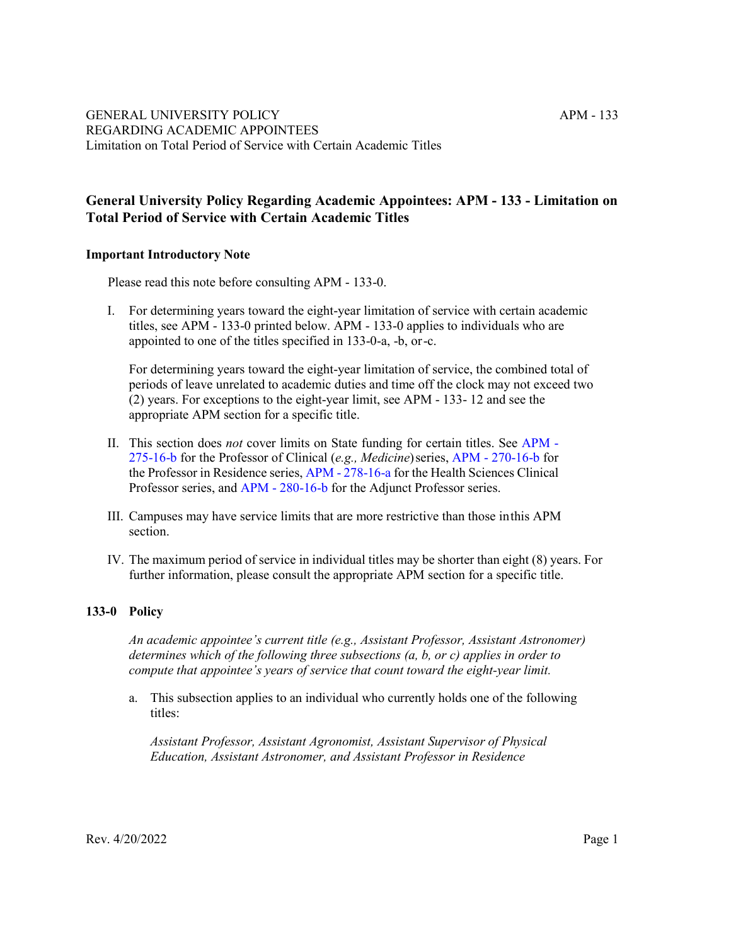# **General University Policy Regarding Academic Appointees: APM - 133 - Limitation on Total Period of Service with Certain Academic Titles**

# **Important Introductory Note**

Please read this note before consulting APM - 133-0.

I. For determining years toward the eight-year limitation of service with certain academic titles, see APM - 133-0 printed below. APM - 133-0 applies to individuals who are appointed to one of the titles specified in 133-0-a, -b, or-c.

For determining years toward the eight-year limitation of service, the combined total of periods of leave unrelated to academic duties and time off the clock may not exceed two (2) years. For exceptions to the eight-year limit, see APM - 133- 12 and see the appropriate APM section for a specific title.

- II. This section does *not* cover limits on State funding for certain titles. See [APM -](http://ucop.edu/academic-personnel-programs/_files/apm/apm-275.pdf) [275-16-b f](http://ucop.edu/academic-personnel-programs/_files/apm/apm-275.pdf)or the Professor of Clinical (*e.g., Medicine*)series, APM - [270-16-b f](http://ucop.edu/academic-personnel-programs/_files/apm/apm-270.pdf)or the Professor in Residence series, APM - [278-16-a f](http://www.ucop.edu/academic-personnel-programs/_files/apm/apm-278.pdf)or the Health Sciences Clinical Professor series, and APM - [280-16-b f](http://ucop.edu/academic-personnel-programs/_files/apm/apm-280.pdf)or the Adjunct Professor series.
- III. Campuses may have service limits that are more restrictive than those inthis APM section.
- IV. The maximum period of service in individual titles may be shorter than eight (8) years. For further information, please consult the appropriate APM section for a specific title.

# **133-0 Policy**

*An academic appointee's current title (e.g., Assistant Professor, Assistant Astronomer) determines which of the following three subsections (a, b, or c) applies in order to compute that appointee's years of service that count toward the eight-year limit.*

a. This subsection applies to an individual who currently holds one of the following titles:

*Assistant Professor, Assistant Agronomist, Assistant Supervisor of Physical Education, Assistant Astronomer, and Assistant Professor in Residence*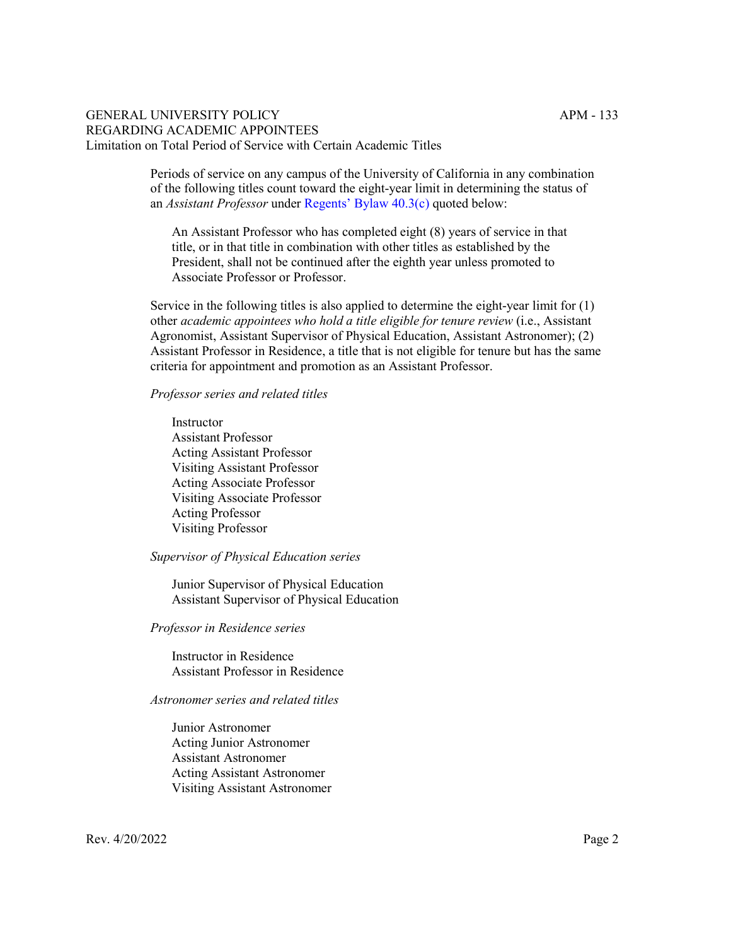Periods of service on any campus of the University of California in any combination of the following titles count toward the eight-year limit in determining the status of an *Assistant Professor* under Regents' [Bylaw 40.3\(c\)](https://regents.universityofcalifornia.edu/governance/bylaws/bl40.html) quoted below:

An Assistant Professor who has completed eight (8) years of service in that title, or in that title in combination with other titles as established by the President, shall not be continued after the eighth year unless promoted to Associate Professor or Professor.

Service in the following titles is also applied to determine the eight-year limit for (1) other *academic appointees who hold a title eligible for tenure review* (i.e., Assistant Agronomist, Assistant Supervisor of Physical Education, Assistant Astronomer); (2) Assistant Professor in Residence, a title that is not eligible for tenure but has the same criteria for appointment and promotion as an Assistant Professor.

#### *Professor series and related titles*

Instructor Assistant Professor Acting Assistant Professor Visiting Assistant Professor Acting Associate Professor Visiting Associate Professor Acting Professor Visiting Professor

#### *Supervisor of Physical Education series*

Junior Supervisor of Physical Education Assistant Supervisor of Physical Education

#### *Professor in Residence series*

Instructor in Residence Assistant Professor in Residence

#### *Astronomer series and related titles*

Junior Astronomer Acting Junior Astronomer Assistant Astronomer Acting Assistant Astronomer Visiting Assistant Astronomer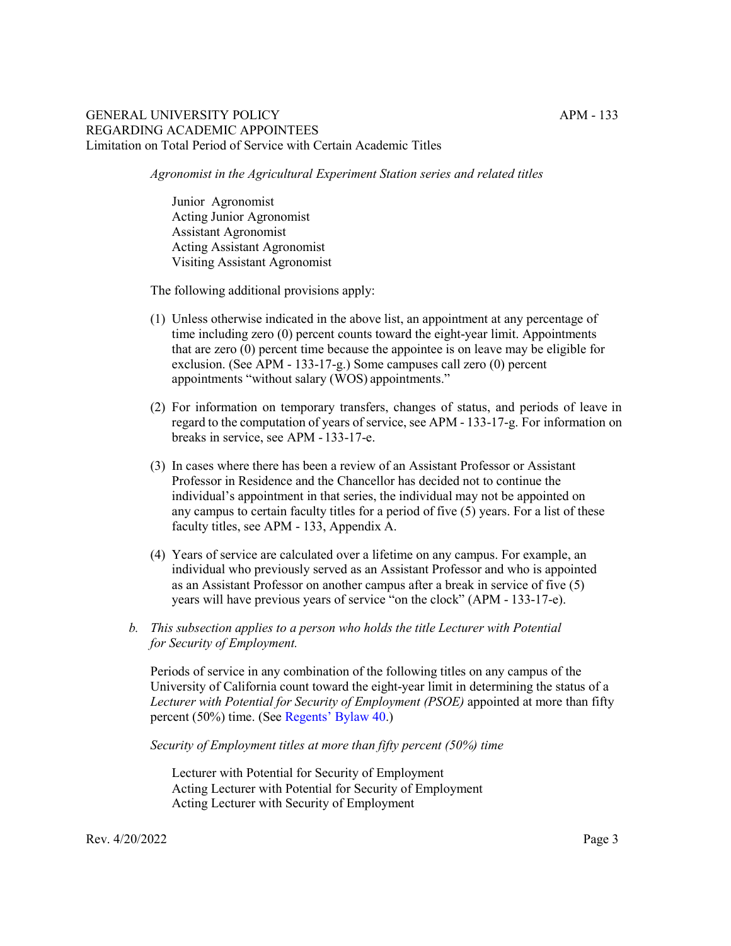*Agronomist in the Agricultural Experiment Station series and related titles*

Junior Agronomist Acting Junior Agronomist Assistant Agronomist Acting Assistant Agronomist Visiting Assistant Agronomist

The following additional provisions apply:

- (1) Unless otherwise indicated in the above list, an appointment at any percentage of time including zero (0) percent counts toward the eight-year limit. Appointments that are zero (0) percent time because the appointee is on leave may be eligible for exclusion. (See APM - 133-17-g.) Some campuses call zero (0) percent appointments "without salary (WOS) appointments."
- (2) For information on temporary transfers, changes of status, and periods of leave in regard to the computation of years of service, see APM - 133-17-g. For information on breaks in service, see APM - 133-17-e.
- (3) In cases where there has been a review of an Assistant Professor or Assistant Professor in Residence and the Chancellor has decided not to continue the individual's appointment in that series, the individual may not be appointed on any campus to certain faculty titles for a period of five (5) years. For a list of these faculty titles, see APM - 133, Appendix A.
- (4) Years of service are calculated over a lifetime on any campus. For example, an individual who previously served as an Assistant Professor and who is appointed as an Assistant Professor on another campus after a break in service of five (5) years will have previous years of service "on the clock" (APM - 133-17-e).
- *b. This subsection applies to a person who holds the title Lecturer with Potential for Security of Employment.*

Periods of service in any combination of the following titles on any campus of the University of California count toward the eight-year limit in determining the status of a *Lecturer with Potential for Security of Employment (PSOE)* appointed at more than fifty percent (50%) time. (Se[e Regents' Bylaw 40.](https://regents.universityofcalifornia.edu/governance/bylaws/bl40.html))

*Security of Employment titles at more than fifty percent (50%) time*

Lecturer with Potential for Security of Employment Acting Lecturer with Potential for Security of Employment Acting Lecturer with Security of Employment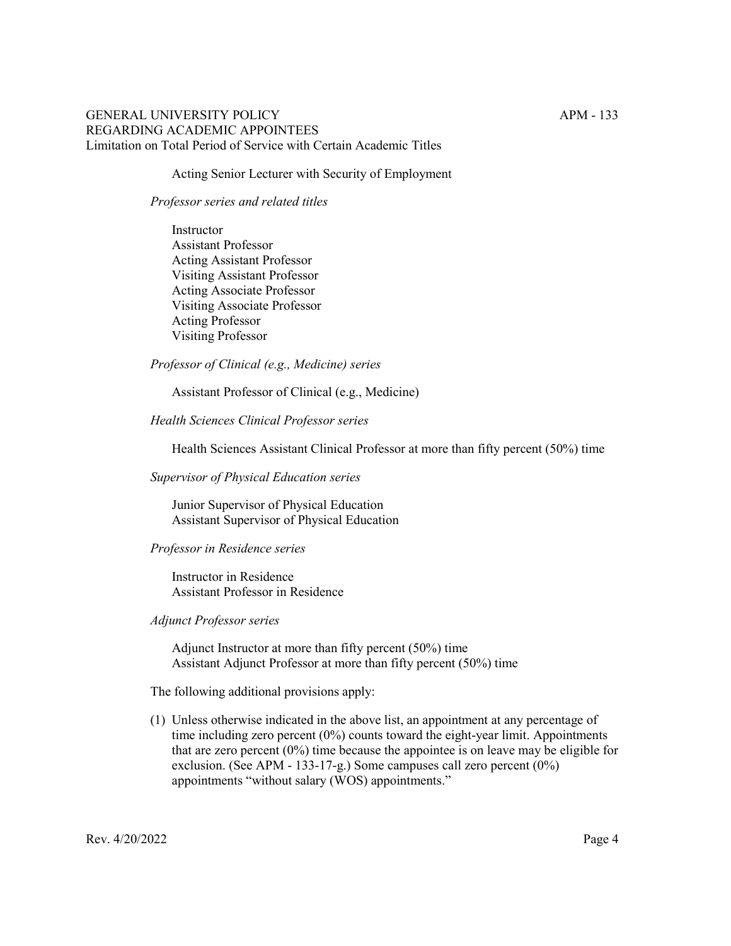Acting Senior Lecturer with Security of Employment

#### *Professor series and related titles*

Instructor Assistant Professor Acting Assistant Professor Visiting Assistant Professor Acting Associate Professor Visiting Associate Professor Acting Professor Visiting Professor

*Professor of Clinical (e.g., Medicine) series*

Assistant Professor of Clinical (e.g., Medicine)

*Health Sciences Clinical Professor series*

Health Sciences Assistant Clinical Professor at more than fifty percent (50%) time

*Supervisor of Physical Education series*

Junior Supervisor of Physical Education Assistant Supervisor of Physical Education

#### *Professor in Residence series*

Instructor in Residence Assistant Professor in Residence

# *Adjunct Professor series*

Adjunct Instructor at more than fifty percent (50%) time Assistant Adjunct Professor at more than fifty percent (50%) time

The following additional provisions apply:

(1) Unless otherwise indicated in the above list, an appointment at any percentage of time including zero percent (0%) counts toward the eight-year limit. Appointments that are zero percent  $(0\%)$  time because the appointee is on leave may be eligible for exclusion. (See APM - 133-17-g.) Some campuses call zero percent (0%) appointments "without salary (WOS) appointments."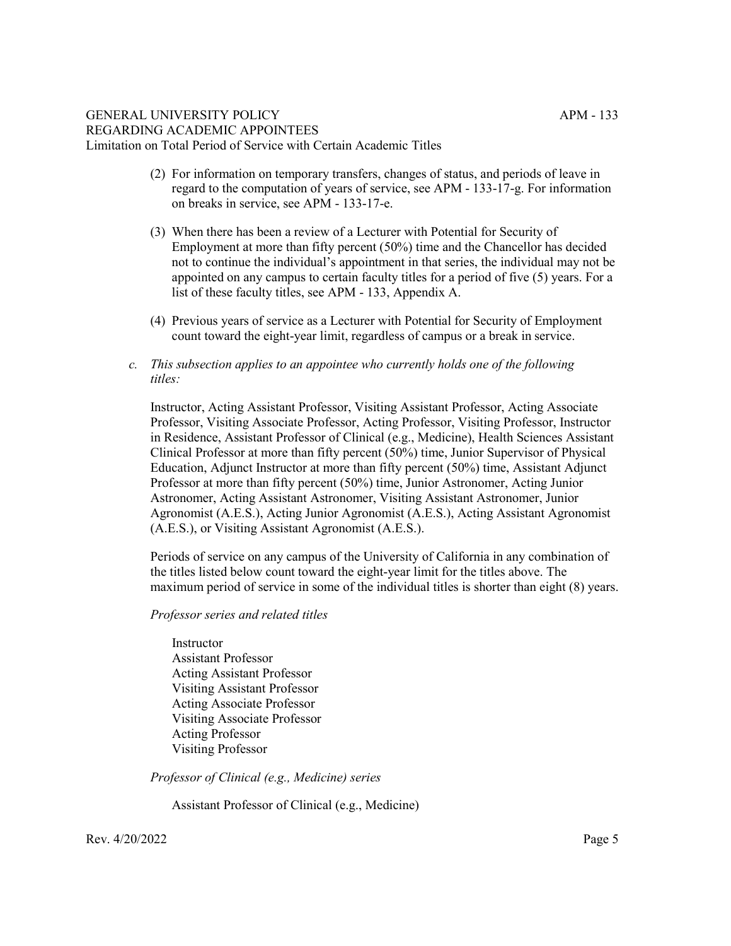- (2) For information on temporary transfers, changes of status, and periods of leave in regard to the computation of years of service, see APM - 133-17-g. For information on breaks in service, see APM - 133-17-e.
- (3) When there has been a review of a Lecturer with Potential for Security of Employment at more than fifty percent (50%) time and the Chancellor has decided not to continue the individual's appointment in that series, the individual may not be appointed on any campus to certain faculty titles for a period of five (5) years. For a list of these faculty titles, see APM - 133, Appendix A.
- (4) Previous years of service as a Lecturer with Potential for Security of Employment count toward the eight-year limit, regardless of campus or a break in service.
- *c. This subsection applies to an appointee who currently holds one of the following titles:*

Instructor, Acting Assistant Professor, Visiting Assistant Professor, Acting Associate Professor, Visiting Associate Professor, Acting Professor, Visiting Professor, Instructor in Residence, Assistant Professor of Clinical (e.g., Medicine), Health Sciences Assistant Clinical Professor at more than fifty percent (50%) time, Junior Supervisor of Physical Education, Adjunct Instructor at more than fifty percent (50%) time, Assistant Adjunct Professor at more than fifty percent (50%) time, Junior Astronomer, Acting Junior Astronomer, Acting Assistant Astronomer, Visiting Assistant Astronomer, Junior Agronomist (A.E.S.), Acting Junior Agronomist (A.E.S.), Acting Assistant Agronomist (A.E.S.), or Visiting Assistant Agronomist (A.E.S.).

Periods of service on any campus of the University of California in any combination of the titles listed below count toward the eight-year limit for the titles above. The maximum period of service in some of the individual titles is shorter than eight (8) years.

## *Professor series and related titles*

Instructor Assistant Professor Acting Assistant Professor Visiting Assistant Professor Acting Associate Professor Visiting Associate Professor Acting Professor Visiting Professor

*Professor of Clinical (e.g., Medicine) series*

Assistant Professor of Clinical (e.g., Medicine)

 $\text{Rev. } 4/20/2022$  Page 5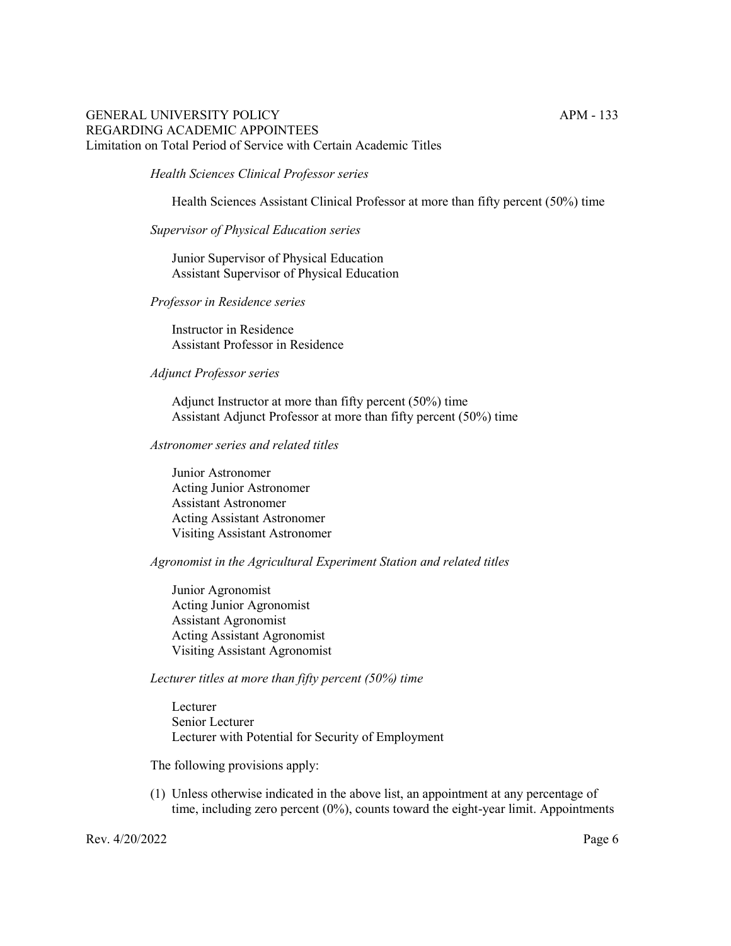## *Health Sciences Clinical Professor series*

Health Sciences Assistant Clinical Professor at more than fifty percent (50%) time

#### *Supervisor of Physical Education series*

Junior Supervisor of Physical Education Assistant Supervisor of Physical Education

#### *Professor in Residence series*

Instructor in Residence Assistant Professor in Residence

## *Adjunct Professor series*

Adjunct Instructor at more than fifty percent (50%) time Assistant Adjunct Professor at more than fifty percent (50%) time

#### *Astronomer series and related titles*

Junior Astronomer Acting Junior Astronomer Assistant Astronomer Acting Assistant Astronomer Visiting Assistant Astronomer

## *Agronomist in the Agricultural Experiment Station and related titles*

Junior Agronomist Acting Junior Agronomist Assistant Agronomist Acting Assistant Agronomist Visiting Assistant Agronomist

#### *Lecturer titles at more than fifty percent (50%) time*

Lecturer Senior Lecturer Lecturer with Potential for Security of Employment

The following provisions apply:

(1) Unless otherwise indicated in the above list, an appointment at any percentage of time, including zero percent  $(0\%)$ , counts toward the eight-year limit. Appointments

Rev. 4/20/2022 Page 6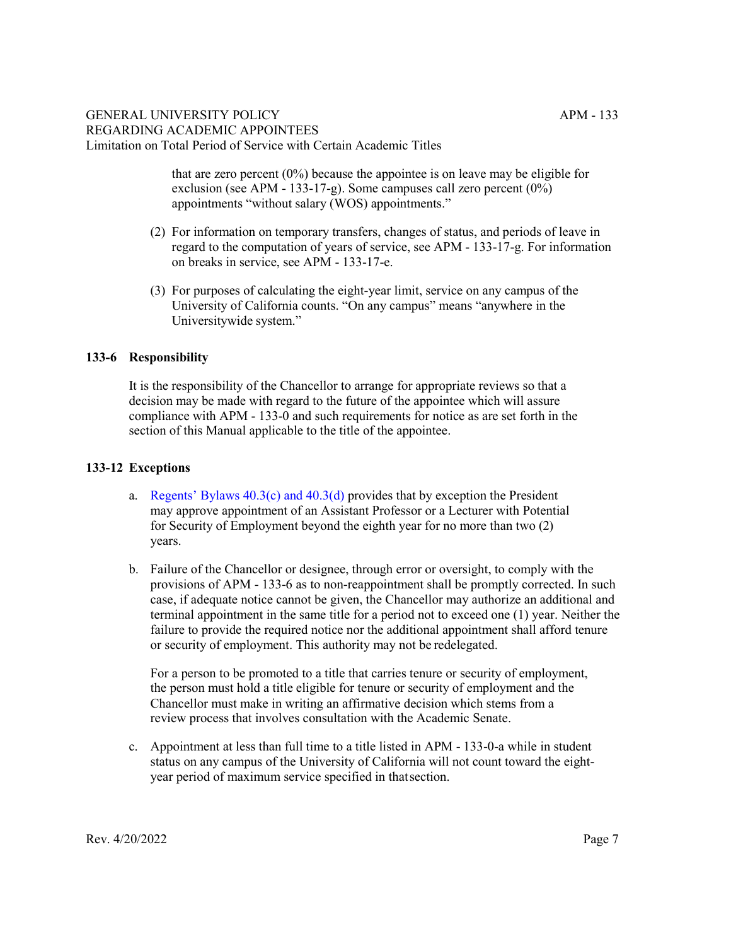that are zero percent  $(0\%)$  because the appointee is on leave may be eligible for exclusion (see APM - 133-17-g). Some campuses call zero percent (0%) appointments "without salary (WOS) appointments."

- (2) For information on temporary transfers, changes of status, and periods of leave in regard to the computation of years of service, see APM - 133-17-g. For information on breaks in service, see APM - 133-17-e.
- (3) For purposes of calculating the eight-year limit, service on any campus of the University of California counts. "On any campus" means "anywhere in the Universitywide system."

# **133-6 Responsibility**

It is the responsibility of the Chancellor to arrange for appropriate reviews so that a decision may be made with regard to the future of the appointee which will assure compliance with APM - 133-0 and such requirements for notice as are set forth in the section of this Manual applicable to the title of the appointee.

# **133-12 Exceptions**

- a. Regents' Bylaws  $40.3(c)$  and  $40.3(d)$  provides that by exception the President may approve appointment of an Assistant Professor or a Lecturer with Potential for Security of Employment beyond the eighth year for no more than two (2) years.
- b. Failure of the Chancellor or designee, through error or oversight, to comply with the provisions of APM - 133-6 as to non-reappointment shall be promptly corrected. In such case, if adequate notice cannot be given, the Chancellor may authorize an additional and terminal appointment in the same title for a period not to exceed one (1) year. Neither the failure to provide the required notice nor the additional appointment shall afford tenure or security of employment. This authority may not be redelegated.

For a person to be promoted to a title that carries tenure or security of employment, the person must hold a title eligible for tenure or security of employment and the Chancellor must make in writing an affirmative decision which stems from a review process that involves consultation with the Academic Senate.

c. Appointment at less than full time to a title listed in APM - 133-0-a while in student status on any campus of the University of California will not count toward the eightyear period of maximum service specified in thatsection.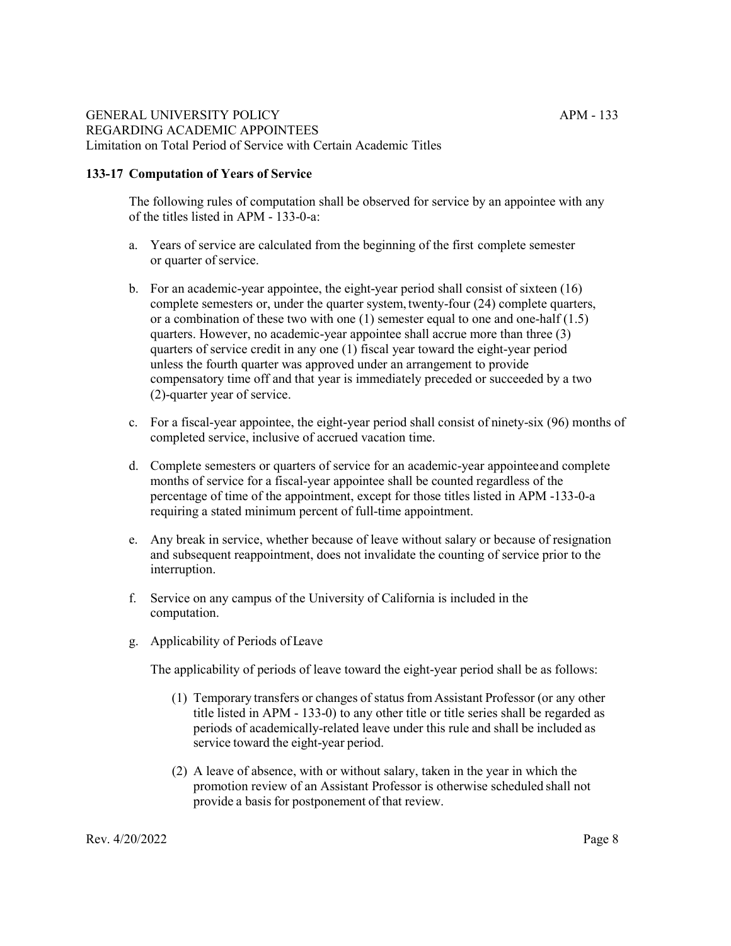# **133-17 Computation of Years of Service**

The following rules of computation shall be observed for service by an appointee with any of the titles listed in APM - 133-0-a:

- a. Years of service are calculated from the beginning of the first complete semester or quarter of service.
- b. For an academic-year appointee, the eight-year period shall consist of sixteen (16) complete semesters or, under the quarter system, twenty-four (24) complete quarters, or a combination of these two with one (1) semester equal to one and one-half (1.5) quarters. However, no academic-year appointee shall accrue more than three (3) quarters of service credit in any one (1) fiscal year toward the eight-year period unless the fourth quarter was approved under an arrangement to provide compensatory time off and that year is immediately preceded or succeeded by a two (2)-quarter year of service.
- c. For a fiscal-year appointee, the eight-year period shall consist of ninety-six (96) months of completed service, inclusive of accrued vacation time.
- d. Complete semesters or quarters of service for an academic-year appointeeand complete months of service for a fiscal-year appointee shall be counted regardless of the percentage of time of the appointment, except for those titles listed in APM -133-0-a requiring a stated minimum percent of full-time appointment.
- e. Any break in service, whether because of leave without salary or because of resignation and subsequent reappointment, does not invalidate the counting of service prior to the interruption.
- f. Service on any campus of the University of California is included in the computation.
- g. Applicability of Periods of Leave

The applicability of periods of leave toward the eight-year period shall be as follows:

- (1) Temporary transfers or changes of status from Assistant Professor (or any other title listed in APM - 133-0) to any other title or title series shall be regarded as periods of academically-related leave under this rule and shall be included as service toward the eight-year period.
- (2) A leave of absence, with or without salary, taken in the year in which the promotion review of an Assistant Professor is otherwise scheduled shall not provide a basis for postponement of that review.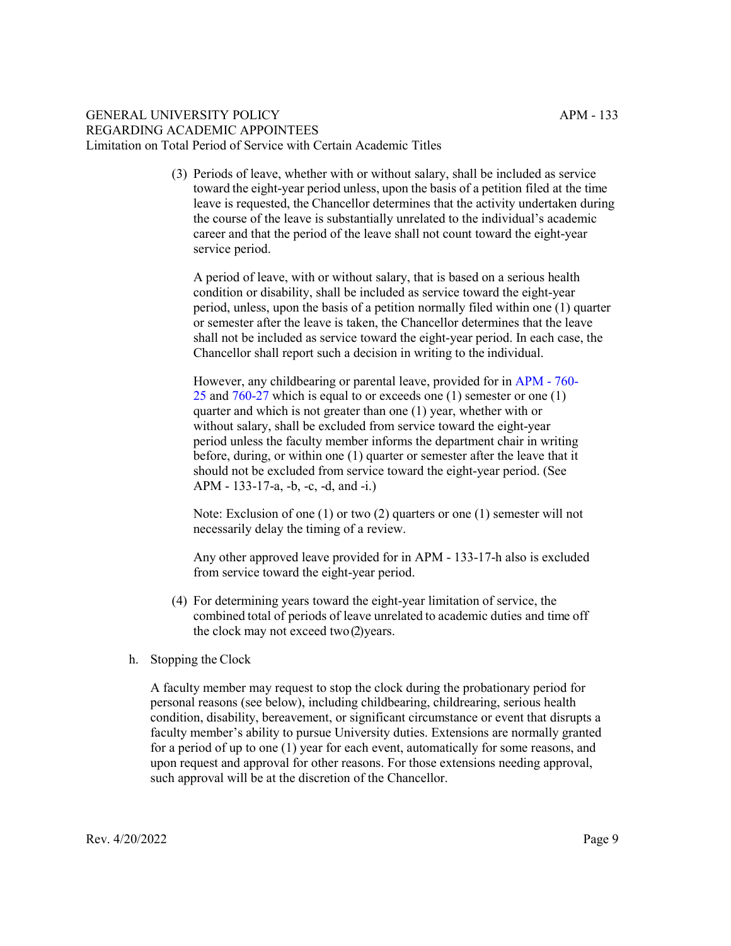(3) Periods of leave, whether with or without salary, shall be included as service toward the eight-year period unless, upon the basis of a petition filed at the time leave is requested, the Chancellor determines that the activity undertaken during the course of the leave is substantially unrelated to the individual's academic career and that the period of the leave shall not count toward the eight-year service period.

A period of leave, with or without salary, that is based on a serious health condition or disability, shall be included as service toward the eight-year period, unless, upon the basis of a petition normally filed within one (1) quarter or semester after the leave is taken, the Chancellor determines that the leave shall not be included as service toward the eight-year period. In each case, the Chancellor shall report such a decision in writing to the individual.

However, any childbearing or parental leave, provided for in [APM -](http://www.ucop.edu/academic-personnel-programs/_files/apm/apm-760.pdf) 760- 25 [and 760-27](http://www.ucop.edu/academic-personnel-programs/_files/apm/apm-760.pdf) which is equal to or exceeds one (1) semester or one (1) quarter and which is not greater than one (1) year, whether with or without salary, shall be excluded from service toward the eight-year period unless the faculty member informs the department chair in writing before, during, or within one (1) quarter or semester after the leave that it should not be excluded from service toward the eight-year period. (See APM - 133-17-a, -b, -c, -d, and -i.)

Note: Exclusion of one (1) or two (2) quarters or one (1) semester will not necessarily delay the timing of a review.

Any other approved leave provided for in APM - 133-17-h also is excluded from service toward the eight-year period.

- (4) For determining years toward the eight-year limitation of service, the combined total of periods of leave unrelated to academic duties and time off the clock may not exceed two(2)years.
- h. Stopping the Clock

A faculty member may request to stop the clock during the probationary period for personal reasons (see below), including childbearing, childrearing, serious health condition, disability, bereavement, or significant circumstance or event that disrupts a faculty member's ability to pursue University duties. Extensions are normally granted for a period of up to one (1) year for each event, automatically for some reasons, and upon request and approval for other reasons. For those extensions needing approval, such approval will be at the discretion of the Chancellor.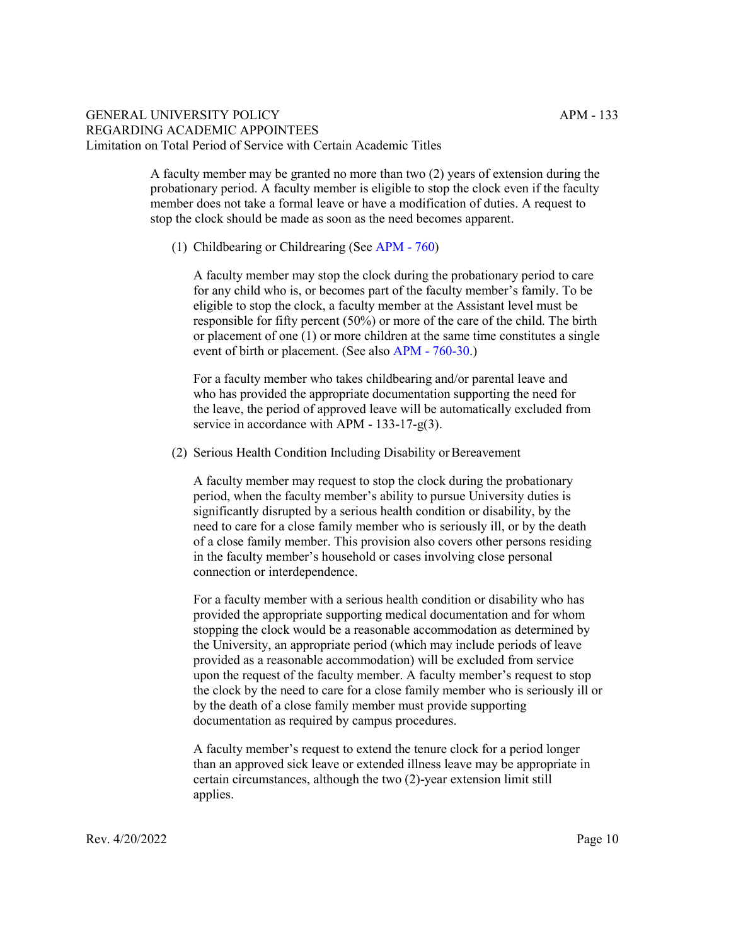A faculty member may be granted no more than two (2) years of extension during the probationary period. A faculty member is eligible to stop the clock even if the faculty member does not take a formal leave or have a modification of duties. A request to stop the clock should be made as soon as the need becomes apparent.

(1) Childbearing or Childrearing [\(See APM -](http://www.ucop.edu/academic-personnel-programs/_files/apm/apm-760.pdf) 760)

A faculty member may stop the clock during the probationary period to care for any child who is, or becomes part of the faculty member's family. To be eligible to stop the clock, a faculty member at the Assistant level must be responsible for fifty percent (50%) or more of the care of the child. The birth or placement of one (1) or more children at the same time constitutes a single event of birth or placement. [\(See also APM -](http://www.ucop.edu/academic-personnel-programs/_files/apm/apm-760.pdf) 760-30.)

For a faculty member who takes childbearing and/or parental leave and who has provided the appropriate documentation supporting the need for the leave, the period of approved leave will be automatically excluded from service in accordance with APM - 133-17-g(3).

(2) Serious Health Condition Including Disability or Bereavement

A faculty member may request to stop the clock during the probationary period, when the faculty member's ability to pursue University duties is significantly disrupted by a serious health condition or disability, by the need to care for a close family member who is seriously ill, or by the death of a close family member. This provision also covers other persons residing in the faculty member's household or cases involving close personal connection or interdependence.

For a faculty member with a serious health condition or disability who has provided the appropriate supporting medical documentation and for whom stopping the clock would be a reasonable accommodation as determined by the University, an appropriate period (which may include periods of leave provided as a reasonable accommodation) will be excluded from service upon the request of the faculty member. A faculty member's request to stop the clock by the need to care for a close family member who is seriously ill or by the death of a close family member must provide supporting documentation as required by campus procedures.

A faculty member's request to extend the tenure clock for a period longer than an approved sick leave or extended illness leave may be appropriate in certain circumstances, although the two (2)-year extension limit still applies.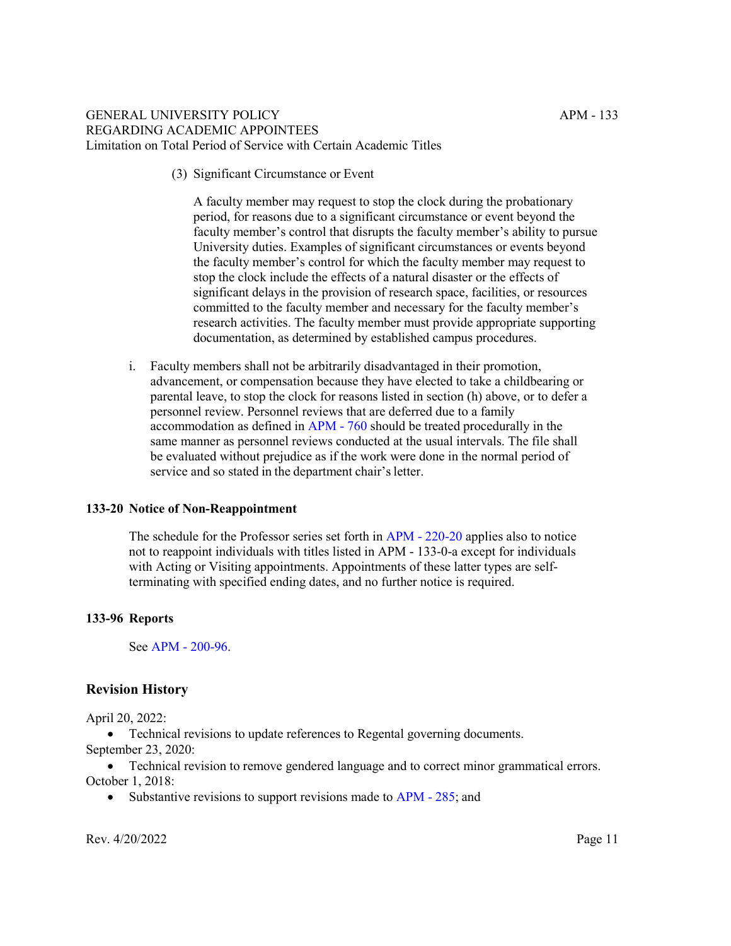(3) Significant Circumstance or Event

A faculty member may request to stop the clock during the probationary period, for reasons due to a significant circumstance or event beyond the faculty member's control that disrupts the faculty member's ability to pursue University duties. Examples of significant circumstances or events beyond the faculty member's control for which the faculty member may request to stop the clock include the effects of a natural disaster or the effects of significant delays in the provision of research space, facilities, or resources committed to the faculty member and necessary for the faculty member's research activities. The faculty member must provide appropriate supporting documentation, as determined by established campus procedures.

i. Faculty members shall not be arbitrarily disadvantaged in their promotion, advancement, or compensation because they have elected to take a childbearing or parental leave, to stop the clock for reasons listed in section (h) above, or to defer a personnel review. Personnel reviews that are deferred due to a family accommodation as defined in [APM -](http://www.ucop.edu/academic-personnel-programs/_files/apm/apm-760.pdf) 760 should be treated procedurally in the same manner as personnel reviews conducted at the usual intervals. The file shall be evaluated without prejudice as if the work were done in the normal period of service and so stated in the department chair's letter.

## **133-20 Notice of Non-Reappointment**

The schedule for the Professor series set forth in [APM -](http://www.ucop.edu/academic-personnel-programs/_files/apm/apm-220.pdf) 220-20 applies also to notice not to reappoint individuals with titles listed in APM - 133-0-a except for individuals with Acting or Visiting appointments. Appointments of these latter types are selfterminating with specified ending dates, and no further notice is required.

## **133-96 Reports**

[See APM -](http://www.ucop.edu/academic-personnel-programs/_files/apm/apm-200.pdf) 200-96.

# **Revision History**

April 20, 2022:

• Technical revisions to update references to Regental governing documents. September 23, 2020:

• Technical revision to remove gendered language and to correct minor grammatical errors. October 1, 2018:

• Substantive revisions to support revisions made to [APM -](https://www.ucop.edu/academic-personnel-programs/_files/apm/apm-285.pdf) 285; and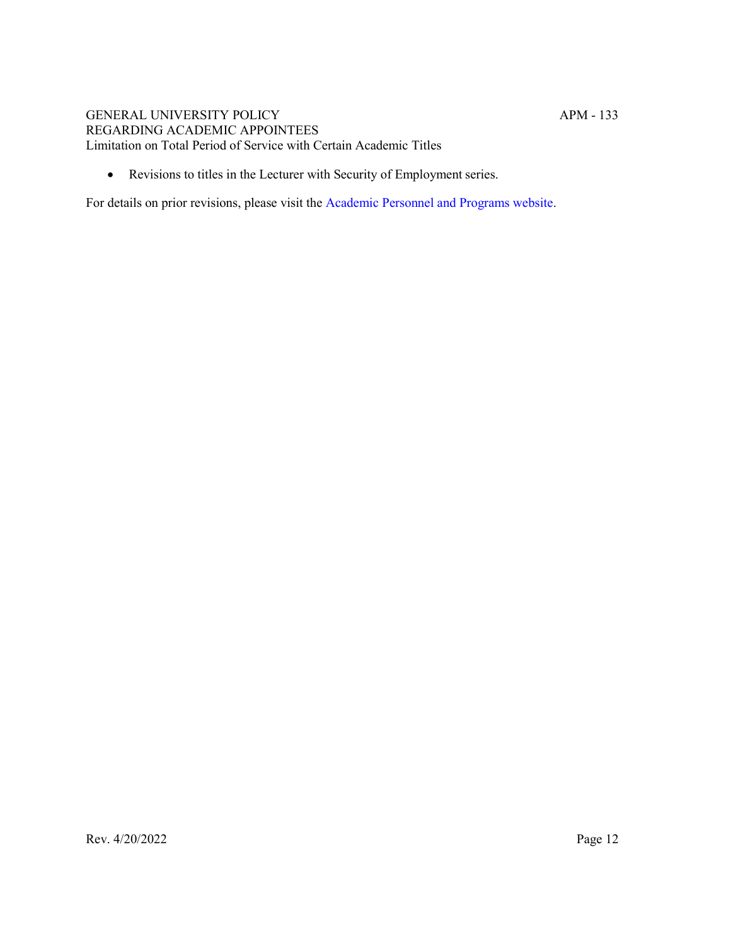• Revisions to titles in the Lecturer with Security of Employment series.

For details on prior revisions, please visit th[e Academic Personnel and Programs website.](https://www.ucop.edu/academic-personnel-programs/academic-personnel-policy/policy-issuances-and-guidelines/index.html)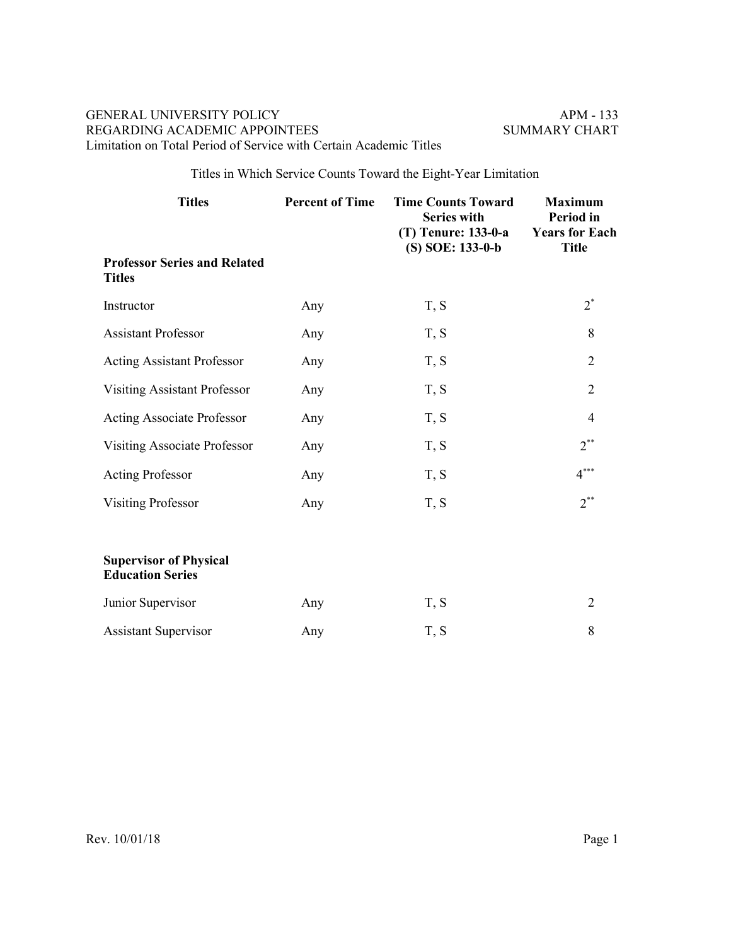Titles in Which Service Counts Toward the Eight-Year Limitation

| <b>Titles</b>                                            | <b>Percent of Time</b> | <b>Time Counts Toward</b><br><b>Series with</b><br>(T) Tenure: 133-0-a | <b>Maximum</b><br>Period in<br><b>Years for Each</b> |
|----------------------------------------------------------|------------------------|------------------------------------------------------------------------|------------------------------------------------------|
| <b>Professor Series and Related</b><br><b>Titles</b>     |                        | (S) SOE: 133-0-b                                                       | <b>Title</b>                                         |
| Instructor                                               | Any                    | T, S                                                                   | $2^*$                                                |
| <b>Assistant Professor</b>                               | Any                    | T, S                                                                   | 8                                                    |
| <b>Acting Assistant Professor</b>                        | Any                    | T, S                                                                   | $\overline{2}$                                       |
| Visiting Assistant Professor                             | Any                    | T, S                                                                   | $\overline{2}$                                       |
| <b>Acting Associate Professor</b>                        | Any                    | T, S                                                                   | $\overline{4}$                                       |
| Visiting Associate Professor                             | Any                    | T, S                                                                   | $2^{**}$                                             |
| <b>Acting Professor</b>                                  | Any                    | T, S                                                                   | $4***$                                               |
| <b>Visiting Professor</b>                                | Any                    | T, S                                                                   | $2^{**}$                                             |
| <b>Supervisor of Physical</b><br><b>Education Series</b> |                        |                                                                        |                                                      |
| Junior Supervisor                                        | Any                    | T, S                                                                   | $\overline{2}$                                       |
| <b>Assistant Supervisor</b>                              | Any                    | T, S                                                                   | 8                                                    |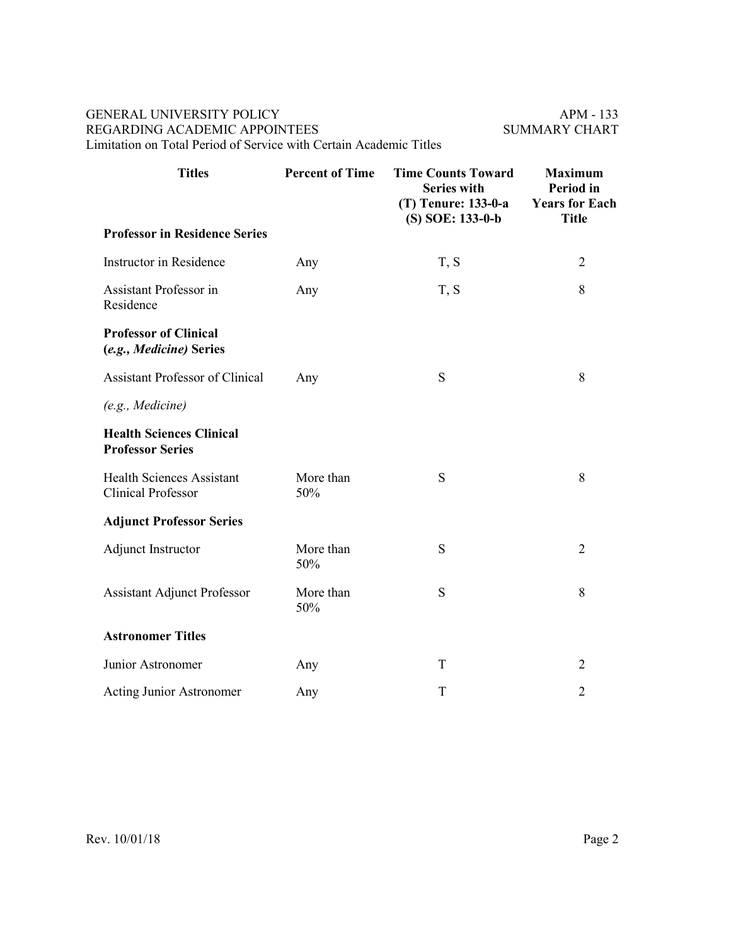| <b>Titles</b>                                                 | <b>Percent of Time</b> | <b>Time Counts Toward</b><br><b>Series with</b><br>(T) Tenure: 133-0-a<br>(S) SOE: 133-0-b | <b>Maximum</b><br><b>Period</b> in<br><b>Years for Each</b><br><b>Title</b> |
|---------------------------------------------------------------|------------------------|--------------------------------------------------------------------------------------------|-----------------------------------------------------------------------------|
| <b>Professor in Residence Series</b>                          |                        |                                                                                            |                                                                             |
| Instructor in Residence                                       | Any                    | T, S                                                                                       | $\overline{2}$                                                              |
| Assistant Professor in<br>Residence                           | Any                    | T, S                                                                                       | 8                                                                           |
| <b>Professor of Clinical</b><br>(e.g., Medicine) Series       |                        |                                                                                            |                                                                             |
| <b>Assistant Professor of Clinical</b>                        | Any                    | S                                                                                          | 8                                                                           |
| (e.g., Medicine)                                              |                        |                                                                                            |                                                                             |
| <b>Health Sciences Clinical</b><br><b>Professor Series</b>    |                        |                                                                                            |                                                                             |
| <b>Health Sciences Assistant</b><br><b>Clinical Professor</b> | More than<br>50%       | S                                                                                          | 8                                                                           |
| <b>Adjunct Professor Series</b>                               |                        |                                                                                            |                                                                             |
| Adjunct Instructor                                            | More than<br>50%       | S                                                                                          | $\overline{2}$                                                              |
| <b>Assistant Adjunct Professor</b>                            | More than<br>50%       | S                                                                                          | 8                                                                           |
| <b>Astronomer Titles</b>                                      |                        |                                                                                            |                                                                             |
| Junior Astronomer                                             | Any                    | T                                                                                          | $\overline{2}$                                                              |
| <b>Acting Junior Astronomer</b>                               | Any                    | T                                                                                          | $\overline{2}$                                                              |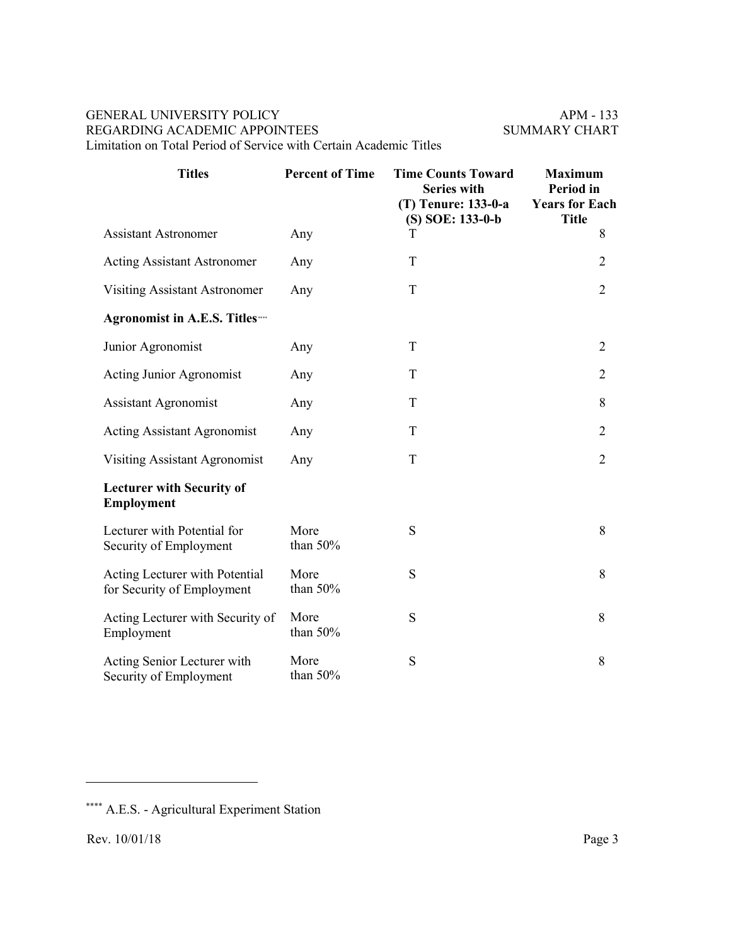| <b>Titles</b>                                                | <b>Percent of Time</b> | <b>Time Counts Toward</b><br><b>Series with</b><br>(T) Tenure: 133-0-a<br>(S) SOE: 133-0-b | <b>Maximum</b><br><b>Period</b> in<br><b>Years for Each</b><br><b>Title</b> |
|--------------------------------------------------------------|------------------------|--------------------------------------------------------------------------------------------|-----------------------------------------------------------------------------|
| <b>Assistant Astronomer</b>                                  | Any                    | T                                                                                          | 8                                                                           |
| <b>Acting Assistant Astronomer</b>                           | Any                    | T                                                                                          | $\overline{2}$                                                              |
| <b>Visiting Assistant Astronomer</b>                         | Any                    | T                                                                                          | $\overline{2}$                                                              |
| Agronomist in A.E.S. Titles…                                 |                        |                                                                                            |                                                                             |
| Junior Agronomist                                            | Any                    | T                                                                                          | $\overline{2}$                                                              |
| <b>Acting Junior Agronomist</b>                              | Any                    | T                                                                                          | $\overline{2}$                                                              |
| <b>Assistant Agronomist</b>                                  | Any                    | T                                                                                          | 8                                                                           |
| <b>Acting Assistant Agronomist</b>                           | Any                    | T                                                                                          | $\overline{2}$                                                              |
| <b>Visiting Assistant Agronomist</b>                         | Any                    | T                                                                                          | $\overline{2}$                                                              |
| <b>Lecturer with Security of</b><br><b>Employment</b>        |                        |                                                                                            |                                                                             |
| Lecturer with Potential for<br>Security of Employment        | More<br>than 50%       | S                                                                                          | 8                                                                           |
| Acting Lecturer with Potential<br>for Security of Employment | More<br>than 50%       | S                                                                                          | 8                                                                           |
| Acting Lecturer with Security of<br>Employment               | More<br>than 50%       | S                                                                                          | 8                                                                           |
| Acting Senior Lecturer with<br>Security of Employment        | More<br>than 50%       | $\mathbf S$                                                                                | 8                                                                           |

 $\overline{a}$ 

<span id="page-14-0"></span><sup>\*\*\*\*</sup> A.E.S. - Agricultural Experiment Station